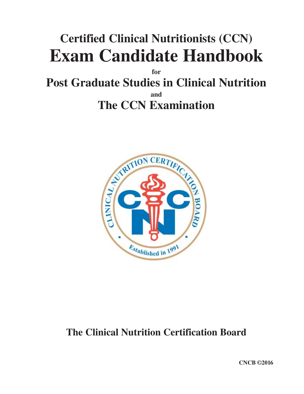# **Certified Clinical Nutritionists (CCN) Exam Candidate Handbook**

**for**

**Post Graduate Studies in Clinical Nutrition and The CCN Examination**



## **The Clinical Nutrition Certification Board**

**CNCB ©2016**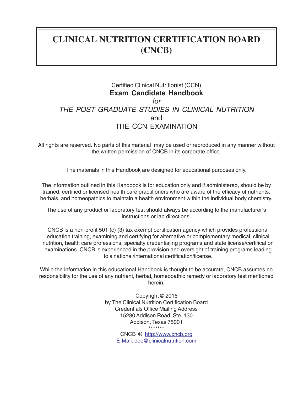## **CLINICAL NUTRITION CERTIFICATION BOARD (CNCB)**

#### Certified Clinical Nutritionist (CCN) **Exam Candidate Handbook** *for THE POST GRADUATE STUDIES IN CLINICAL NUTRITION* and THE CCN EXAMINATION

All rights are reserved. No parts of this material may be used or reproduced in any manner without the written permission of CNCB in its corporate office.

The materials in this Handbook are designed for educational purposes only.

The information outlined in this Handbook is for education only and if administered, should be by trained, certified or licensed health care practitioners who are aware of the efficacy of nutrients, herbals, and homeopathics to maintain a health environment within the individual body chemistry.

The use of any product or laboratory test should always be according to the manufacturer's instructions or lab directions.

CNCB is a non-profit 501 (c) (3) tax exempt certification agency which provides professional education training, examining and certifying for alternative or complementary medical, clinical nutrition, health care professions, specialty credentialing programs and state license/certification examinations. CNCB is experienced in the provision and oversight of training programs leading to a national/international certification/license.

While the information in this educational Handbook is thought to be accurate, CNCB assumes no responsibility for the use of any nutrient, herbal, homeopathic remedy or laboratory test mentioned herein.

> Copyright © 2016 by The Clinical Nutrition Certification Board Credentials Office Mailing Address 15280 Addison Road, Ste. 130 Addison, Texas 75001 \*\*\*\*\*\*\*

CNCB @ http://www.cncb.org E-Mail: ddc@clinicalnutrition.com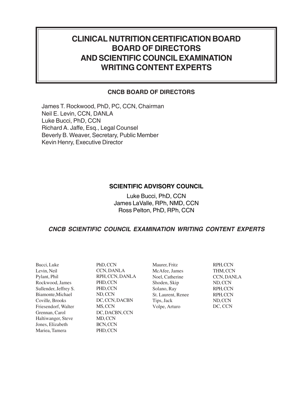## **CLINICAL NUTRITION CERTIFICATION BOARD BOARD OF DIRECTORS AND SCIENTIFIC COUNCILEXAMINATION WRITING CONTENT EXPERTS**

#### **CNCB BOARD OF DIRECTORS**

James T. Rockwood, PhD, PC, CCN, Chairman Neil E. Levin, CCN, DANLA Luke Bucci, PhD, CCN Richard A. Jaffe, Esq., Legal Counsel Beverly B. Weaver, Secretary, Public Member Kevin Henry, Executive Director

#### **SCIENTIFIC ADVISORY COUNCIL**

Luke Bucci, PhD, CCN James LaValle, RPh, NMD, CCN Ross Pelton, PhD, RPh, CCN

#### *CNCB SCIENTIFIC COUNCIL EXAMINATION WRITING CONTENT EXPERTS*

| Bucci, Luke           |
|-----------------------|
| Levin, Neil           |
| Pylant, Phil          |
| Rockwood, James       |
| Sullender, Jeffrey S. |
| Biamonte, Michael     |
| Coville, Brooks       |
| Friesendorf, Walter   |
| Grennan, Carol        |
| Haltiwanger, Steve    |
| Jones, Elizabeth      |
| Mariea, Tamera        |

PhD, CCN CCN, DANLA RPH, CCN, DANLA PHD,CCN PHD, CCN ND,CCN DC, CCN, DACBN MS, CCN DC, DACBN, CCN MD, CCN BCN, CCN PHD,CCN

Maurer, Fritz RPH, CCN McAfee, James THM,CCN Noel, Catherine CCN,DANLA Shoden, Skip ND, CCN Solano, Ray RPH, CCN St. Laurent, Renee RPH,CCN Tips, Jack Volpe, Arturo Jack ND,CC N

DC, CCN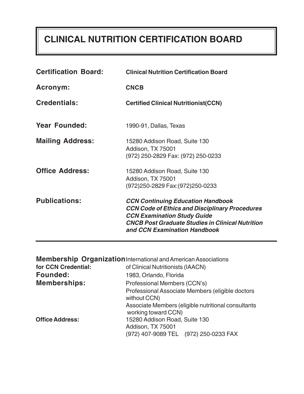## **CLINICAL NUTRITION CERTIFICATION BOARD**

| <b>Certification Board:</b> | <b>Clinical Nutrition Certification Board</b>                                                                                                                                                                                      |
|-----------------------------|------------------------------------------------------------------------------------------------------------------------------------------------------------------------------------------------------------------------------------|
| <b>Acronym:</b>             | <b>CNCB</b>                                                                                                                                                                                                                        |
| <b>Credentials:</b>         | <b>Certified Clinical Nutritionist(CCN)</b>                                                                                                                                                                                        |
| <b>Year Founded:</b>        | 1990-91, Dallas, Texas                                                                                                                                                                                                             |
| <b>Mailing Address:</b>     | 15280 Addison Road, Suite 130<br>Addison, TX 75001<br>(972) 250-2829 Fax: (972) 250-0233                                                                                                                                           |
| <b>Office Address:</b>      | 15280 Addison Road, Suite 130<br>Addison, TX 75001<br>(972)250-2829 Fax: (972)250-0233                                                                                                                                             |
| <b>Publications:</b>        | <b>CCN Continuing Education Handbook</b><br><b>CCN Code of Ethics and Disciplinary Procedures</b><br><b>CCN Examination Study Guide</b><br><b>CNCB Post Graduate Studies in Clinical Nutrition</b><br>and CCN Examination Handbook |

|                        | <b>Membership Organization</b> International and American Associations     |
|------------------------|----------------------------------------------------------------------------|
| for CCN Credential:    | of Clinical Nutritionists (IAACN)                                          |
| <b>Founded:</b>        | 1983, Orlando, Florida                                                     |
| <b>Memberships:</b>    | Professional Members (CCN's)                                               |
|                        | Professional Associate Members (eligible doctors<br>without CCN)           |
|                        | Associate Members (eligible nutritional consultants<br>working toward CCN) |
| <b>Office Address:</b> | 15280 Addison Road, Suite 130                                              |
|                        | Addison, TX 75001                                                          |
|                        | (972) 407-9089 TEL (972) 250-0233 FAX                                      |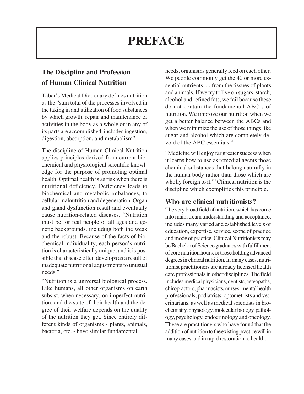## **PREFACE**

### **The Discipline and Profession of Human Clinical Nutrition**

Taber's Medical Dictionary defines nutrition as the "sum total of the processes involved in the taking in and utilization of food substances by which growth, repair and maintenance of activities in the body as a whole or in any of its parts are accomplished, includes ingestion, digestion, absorption, and metabolism".

The discipline of Human Clinical Nutrition applies principles derived from current biochemical and physiological scientific knowledge for the purpose of promoting optimal health. Optimal health is as risk when there is nutritional deficiency. Deficiency leads to biochemical and metabolic imbalances, to cellular malnutrition and degeneration. Organ and gland dysfunction result and eventually cause nutrition-related diseases. "Nutrition must be for real people of all ages and genetic backgrounds, including both the weak and the robust. Because of the facts of biochemical individuality, each person's nutrition is characteristically unique, and it is possible that disease often develops as a result of inadequate nutritional adjustments to unusual needs."

"Nutrition is a universal biological process. Like humans, all other organisms on earth subsist, when necessary, on imperfect nutrition, and the state of their health and the degree of their welfare depends on the quality of the nutrition they get. Since entirely different kinds of organisms - plants, animals, bacteria, etc. - have similar fundamental

needs, organisms generally feed on each other. We people commonly get the 40 or more essential nutrients .....from the tissues of plants and animals. If we try to live on sugars, starch, alcohol and refined fats, we fail because these do not contain the fundamental ABC's of nutrition. We improve our nutrition when we get a better balance between the ABCs and when we minimize the use of those things like sugar and alcohol which are completely devoid of the ABC essentials."

"Medicine will enjoy far greater success when it learns how to use as remedial agents those chemical substances that belong naturally in the human body rather than those which are wholly foreign to it,"<sup>4</sup> Clinical nutrition is the discipline which exemplifies this principle.

#### **Who are clinical nutritionists?**

The very broad field of nutrition, which has come into mainstream understanding and acceptance, includes many varied and established levels of education, expertise, service, scope of practice and mode of practice. Clinical Nutritionists may be Bachelor of Science graduates with fulfillment of core nutrition hours, or those holding advanced degrees in clinical nutrition. In many cases, nutritionist practitioners are already licensed health care professionals in other disciplines. The field includes medical physicians, dentists, osteopaths, chiropractors, pharmacists, nurses, mental health professionals, podiatrists, optometrists and veterinarians, as well as medical scientists in biochemistry, physiology, molecular biology, pathology, psychology, endocrinology and oncology. These are practitioners who have found that the addition of nutrition to the existing practice will in many cases, aid in rapid restoration to health.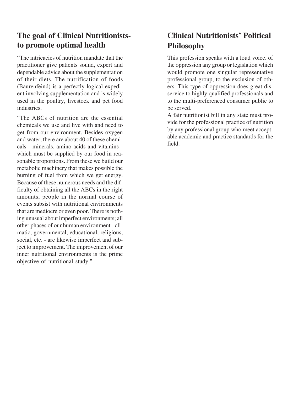### **The goal of Clinical Nutritioniststo promote optimal health**

"The intricacies of nutrition mandate that the practitioner give patients sound, expert and dependable advice about the supplementation of their diets. The nutrification of foods (Baurenfeind) is a perfectly logical expedient involving supplementation and is widely used in the poultry, livestock and pet food industries.

"The ABCs of nutrition are the essential chemicals we use and live with and need to get from our environment. Besides oxygen and water, there are about 40 of these chemicals - minerals, amino acids and vitamins which must be supplied by our food in reasonable proportions. From these we build our metabolic machinery that makes possible the burning of fuel from which we get energy. Because of these numerous needs and the difficulty of obtaining all the ABCs in the right amounts, people in the normal course of events subsist with nutritional environments that are mediocre or even poor. There is nothing unusual about imperfect environments; all other phases of our human environment - climatic, governmental, educational, religious, social, etc. - are likewise imperfect and subject to improvement. The improvement of our inner nutritional environments is the prime objective of nutritional study."

## **Clinical Nutritionists' Political Philosophy**

This profession speaks with a loud voice. of the oppression any group or legislation which would promote one singular representative professional group, to the exclusion of others. This type of oppression does great disservice to highly qualified professionals and to the multi-preferenced consumer public to be served.

A fair nutritionist bill in any state must provide for the professional practice of nutrition by any professional group who meet acceptable academic and practice standards for the field.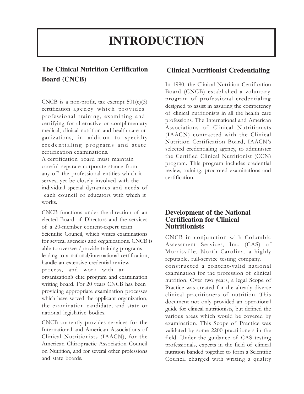## **INTRODUCTION**

### **The Clinical Nutrition Certification Board (CNCB)**

CNCB is a non-profit, tax exempt  $501(c)(3)$ certification agency which provides professional training, examining and certifying for alternative or complimentary medical, clinical nutrition and health care organizations, in addition to specialty credentialing programs and state certification examinations.

A certification board must maintain careful separate corporate stance from any of' the professional entities which it serves, yet be closely involved with the individual special dynamics and needs of each council of educators with which it works.

CNCB functions under the direction of an elected Board of Directors and the services of a 20-member content-expert team Scientific Council, which writes examinations for several agencies and organizations. CNCB is able to oversee /provide training programs leading to a national/international certification, handle an extensive credential review process, and work with an organization's elite program and examination writing board. For 20 years CNCB has been providing appropriate examination processes which have served the applicant organization, the examination candidate, and state or national legislative bodies.

CNCB currently provides services for the International and American Associations of Clinical Nutritionists (IAACN), for the American Chiropractic Association Council on Nutrition, and for several other professions and state boards.

#### **Clinical Nutritionist Credentialing**

In 1990, the Clinical Nutrition Certification Board (CNCB) established a voluntary program of professional credentialing designed to assist in assuring the competency of clinical nutritionists in all the health care professions. The International and American Associations of Clinical Nutritionists (IAACN) contracted with the Clinical Nutrition Certification Board, IAACN's selected credentialing agency, to administer the Certified Clinical Nutritionist (CCN) program. This program includes credential review, training, proctored examinations and certification.

#### **Development of the National Certification for Clinical Nutritionists**

CNCB in conjunction with Columbia Assessment Services, Inc. (CAS) of Morrisville, North Carolina, a highly reputable, full-service testing company,

constructed a content-valid national examination for the profession of clinical nutrition. Over two years, a legal Scope of Practice was created for the already diverse clinical practitioners of nutrition. This document not only provided an operational guide for clinical nutritionists, but defined the various areas which would be covered by examination. This Scope of Practice was validated by some 2200 practitioners in the field. Under the guidance of CAS testing professionals, experts in the field of clinical nutrition banded together to form a Scientific Council charged with writing a quality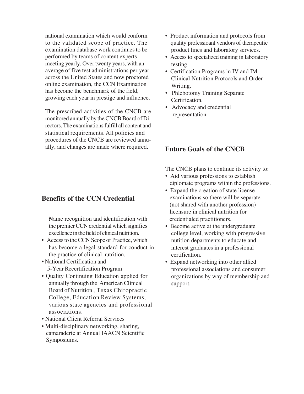national examination which would conform to the validated scope of practice. The examination database work continues to be performed by teams of content experts meeting yearly. Over twenty years, with anaverage of five test administrations per year across the United States and now proctored online examination, the CCN Examination has become the benchmark of the field, growing each year in prestige and influence.

The prescribed activities of the CNCB are monitored annually by the CNCB Board of Directors. The examinations fulfill all content and statistical requirements. All policies and procedures of the CNCB are reviewed annually, and changes are made where required.

#### **Benefits of the CCN Credential**

•Name recognition and identification with the premierCCN credential which signifies excellence in the field of clinical nutrition.

- Access to the CCN Scope of Practice, which has become a legal standard for conduct in the practice of clinical nutrition.
- National Certification and 5-Year Recertification Program
- Quality Continuing Education applied for annually through the American Clinical Board of Nutrition, Texas Chiropractic various state agencies and professional College, Education Review Systems, associations.
- National Client Referral Services
- Multi-disciplinary networking, sharing, Symposiums. camaraderie at Annual IAACN Scientific
- **•** Product information and protocols from quality professioanl vendors of therapeutic product lines and laboratory services.
- **•** Access to specialized training in laboratory testing.
- **•** Certification Programs in IV and IM Clinical Nutrition Protocols and Order Writing.
- Phlebotomy Training Separate Certification.
- Advocacy and credential representation.

#### **Future Goals of the CNCB**

The CNCB plans to continue its activity to:

- Aid various professions to establish diplomate programs within the professions.
- Expand the creation of state license examinations so there will be separate (not shared with another profession) licensure in clinical nutrition for credentialed practitioners.
- Become active at the undergraduate college level, working with progressive nutition departments to educate and interest graduates in a professional certification.
- Expand networking into other allied professional associations and consumer organizations by way of membership and support.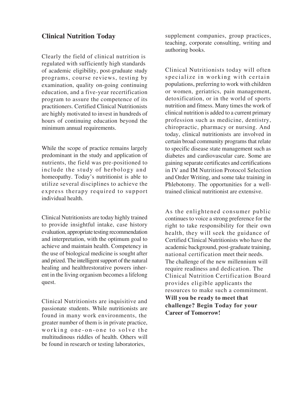#### **Clinical Nutrition Today**

Clearly the field of clinical nutrition is regulated with sufficiently high standards of academic eligibility, post-graduate study programs, course reviews, testing by examination, quality on-going continuing education, and a five-year recertification program to assure the competence of its practitioners. Certified Clinical Nutritionists are highly motivated to invest in hundreds of hours of continuing education beyond the minimum annual requirements.

While the scope of practice remains largely predominant in the study and application of nutrients, the field was pre-positioned to include the study of herbology and homeopathy. Today's nutritionist is able to utilize several disciplines to achieve the express therapy required to support individual health.

Clinical Nutritionists are today highly trained to provide insightful intake, case history evaluation, appropriate testing recommendation and interpretation, with the optimum goal to achieve and maintain health. Competency in the use of biological medicine is sought after and prized. The intelligent support of the natural healing and healthrestorative powers inherent in the living organism becomes a lifelong quest.

Clinical Nutritionists are inquisitive and passionate students. While nutritionists are found in many work environments, the greater number of them is in private practice, working one-on-one to solve the multitudinous riddles of health. Others will be found in research or testing laboratories,

supplement companies, group practices, teaching, corporate consulting, writing and authoring books.

Clinical Nutritionists today will often specialize in working with certain populations, preferring to work with children or women, geriatrics, pain management, detoxification, or in the world of sports nutrition and fitness. Many times the work of clinical nutrition is added to a current primary profession such as medicine, dentistry, chiropractic, pharmacy or nursing. And today, clinical nutritionists are involved in certain broad community programs that relate to specific disease state management such as diabetes and cardiovascular care. Some are gaining separate certificates and certifications in IV and IM Nutrition Protocol Selection and Order Writing, and some take training in Phlebotomy. The opportunities for a welltrained clinical nutritionist are extensive.

As the enlightened consumer public continues to voice a strong preference for the right to take responsibility for their own health, they will seek the guidance of Certified Clinical Nutritionists who have the academic background, post-graduate training, national certification meet their needs. The challenge of the new millennium will require readiness and dedication. The Clinical Nutrition Certification Board provides eligible applicants the resources to make such a commitment. **Will you be ready to meet that challenge? Begin Today for your Career of Tomorrow!**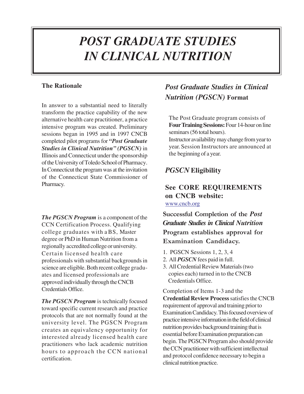## *POST GRADUATE STUDIES IN CLINICAL NUTRITION*

#### **The Rationale**

In answer to a substantial need to literally transform the practice capability of the new alternative health care practitioner, a practice intensive program was created. Preliminary sessions began in 1995 and in 1997 CNCB completed pilot programs for *"Post Graduate Studies in Clinical Nutrition" (PGSCN)* in Illinois and Connecticut under the sponsorship of the University of Toledo School of Pharmacy. InConnecticut the programwas at the invitation of the Connecticut State Commissioner of Pharmacy.

*The PGSCN Program* is a component of the CCN Certification Process. Qualifying college graduates with a BS, Master degree or PhD in Human Nutrition from a regionally accredited college or university. Certain licensed health care professionals with substantial backgroundsin science are eligible. Both recent college graduates and licensed professionals are approved individually through theCNCB Credentials Office.

*The PGSCN Program* is technically focused toward specific current research and practice protocols that are not normally found at the university level. The PGSCN Program creates an equivalency opportunity for interested already licensed health care practitioners who lack academic nutrition hours to approach the CCN national certification.

## *Post Graduate Studies in Clinical Nutrition (PGSCN)* **Format**

The Post Graduate program consists of Four Training Sessions: Four 14-hour on line seminars (56 total hours).

Instructor availabilitymay change fromyearto year. Session Instructors are announced at the beginning of a year.

#### *PGSCN* **Eligibility**

#### **See CORE REQUIREMENTS on CNCB website:** www.cncb.org

**Successful Completion of the** *Post Graduate Studies in Clinical Nutrition* **Program establishes approval for Examination Candidacy.**

- 1. PGSCN Sessions 1, 2, 3, 4
- 2. All *PGSCN* fees paid in full.
- 3. All Credential Review Materials (two copies each) turned in to the CNCB Credentials Office.

Completion of Items 1-3 and the **Credential Review Process**satisfiesthe CNCB requirement of approval and training priorto Examination Candidacy. This focused overview of practice intensive information in the field of clinical nutrition provides background training that is essential before Examination preparation can begin. The PGSCN Program also should provide the CCN practitioner with sufficient intellectual and protocol confidence necessary to begin a clinical nutrition practice.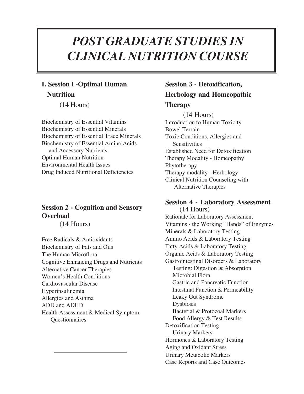## *POST GRADUATE STUDIES IN CLINICAL NUTRITION COURSE*

### **I. Session l -Optimal Human Nutrition**

(14 Hours)

Biochemistry of Essential Vitamins Biochemistry of Essential Minerals Biochemistry of Essential Trace Minerals Biochemistry of Essential Amino Acids and Accessory Nutrients Optimal Human Nutrition Environmental Health Issues Drug Induced Nutritional Deficiencies

#### **Session 2 - Cognition and Sensory Overload**

(14 Hours)

Free Radicals & Antioxidants Biochemistry of Fats and Oils The Human Microflora Cognitive Enhancing Drugs and Nutrients Alternative Cancer Therapies Women's Health Conditions Cardiovascular Disease Hyperinsulinemia Allergies and Asthma ADD and ADHD Health Assessment & Medical Symptom **Questionnaires** 

## **Session 3 - Detoxification, Herbology and Homeopathic**

#### **Therapy**

(14 Hours) Introduction to Human Toxicity Bowel Terrain Toxic Conditions, Allergies and **Sensitivities** Established Need for Detoxification Therapy Modality - Homeopathy Phytotherapy Therapy modality - Herbology Clinical Nutrition Counseling with Alternative Therapies

**Session 4 - Laboratory Assessment** (14 Hours) Rationale for Laboratory Assessment Vitamins - the Working "Hands" of Enzymes Minerals & Laboratory Testing Amino Acids & Laboratory Testing Fatty Acids & Laboratory Testing Organic Acids & Laboratory Testing Gastrointestinal Disorders & Laboratory Testing: Digestion & Absorption Microbial Flora Gastric and Pancreatic Function Intestinal Function & Permeability Leaky Gut Syndrome Dysbiosis Bacterial & Protozoal Markers Food Allergy & Test Results Detoxification Testing Urinary Markers Hormones & Laboratory Testing Aging and Oxidant Stress Urinary Metabolic Markers Case Reports and Case Outcomes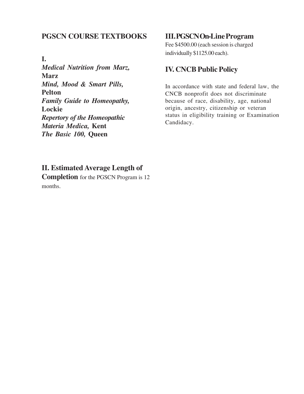#### **PGSCN COURSE TEXTBOOKS**

#### **I.**

*Medical Nutrition from Marz,* **Marz** *Mind, Mood & Smart Pills,* **Pelton** *Family Guide to Homeopathy,* **Lockie** *Repertory of the Homeopathic Materia Medica,* **Kent** *The Basic 100,* **Queen**

#### **III.PGSCNOn-LineProgram**

Fee \$4500.00 (each session is charged individually \$1125.00 each).

#### **IV. CNCB Public Policy**

In accordance with state and federal law, the Candidacy. status in eligibility training or Examination origin, ancestry, citizenship or veteran because of race, disability, age, national CNCB nonprofit does not discriminate

#### **II. Estimated Average Length of**

**Completion** for the PGSCN Program is 12 months.